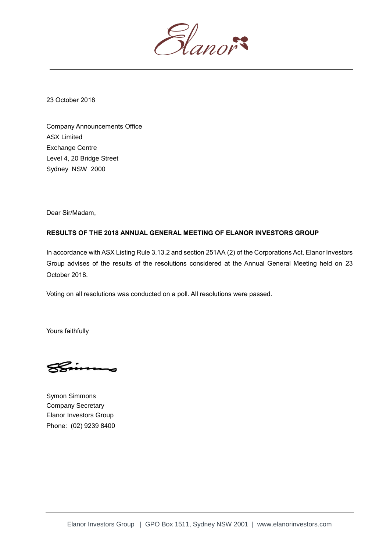

23 October 2018

Company Announcements Office ASX Limited Exchange Centre Level 4, 20 Bridge Street Sydney NSW 2000

Dear Sir/Madam,

## **RESULTS OF THE 2018 ANNUAL GENERAL MEETING OF ELANOR INVESTORS GROUP**

In accordance with ASX Listing Rule 3.13.2 and section 251AA (2) of the Corporations Act, Elanor Investors Group advises of the results of the resolutions considered at the Annual General Meeting held on 23 October 2018.

Voting on all resolutions was conducted on a poll. All resolutions were passed.

Yours faithfully

Symon Simmons Company Secretary Elanor Investors Group Phone: (02) 9239 8400